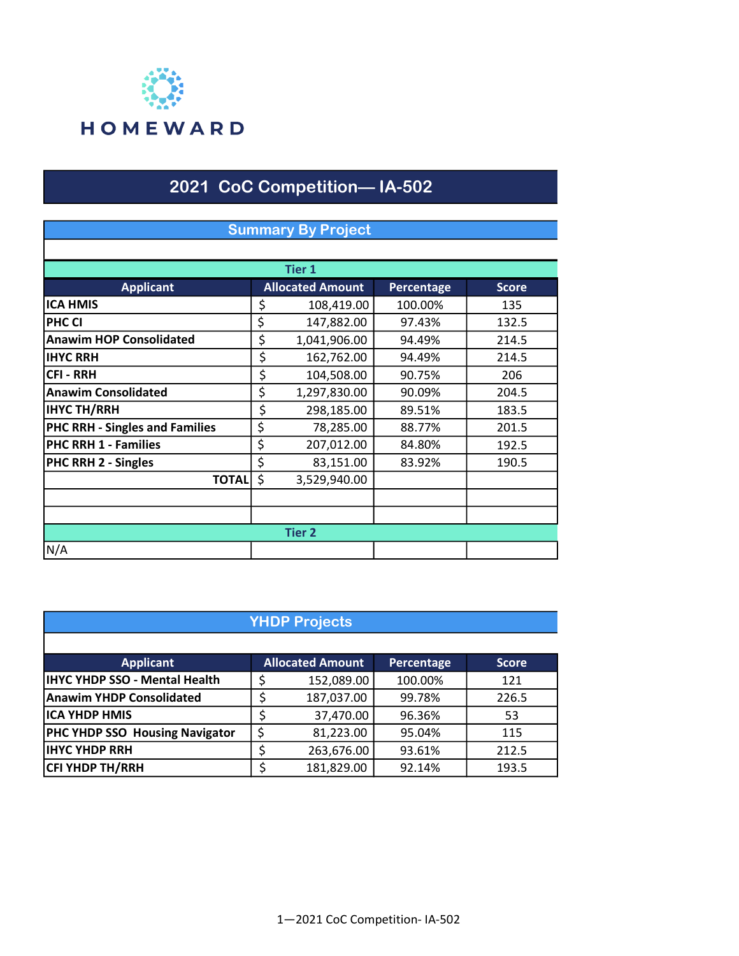

### 2021 CoC Competition— IA-502

## Applicant Allocated Amount Percentage Score **ICA HMIS**  $\begin{array}{|c|c|c|c|c|} \hline \text{S} & 108,419.00 & 100.00\% & \text{135} \ \hline \end{array}$ **PHC CI** 5 147,882.00 97.43% 132.5 Anawim HOP Consolidated  $\begin{vmatrix} 5 & 1,041,906.00 & 94.49\% \end{vmatrix}$  214.5 **IHYC RRH**  $\begin{array}{|c|c|c|c|c|c|c|c|c|} \hline \end{array}$  **5 162,762.00 94.49% 214.5** CFI - RRH \$ 90.75% 206 104,508.00 Anawim Consolidated  $\begin{vmatrix} 5 & 1,297,830.00 & 90.09\% \end{vmatrix}$  204.5 1201 183.5 189.51% 183.5 184.185.00 189.51% 183.5<br>PHC RRH - Singles and Families 1 5 18,285.00 188.77% 189.1.5 **PHC RRH - Singles and Families**  $\begin{array}{|c|c|c|c|c|c|} \hline \text{S} & \text{A} & \text{B} & \text{B} & \text{B} & \text{B} & \text{B} & \text{B} & \text{B} & \text{B} & \text{B} & \text{B} & \text{B} & \text{B} & \text{B} & \text{B} & \text{B} & \text{B} & \text{B} & \text{B} & \text{B} & \text{B} & \text{B} & \text{B} & \text{B} & \text{B} & \text{B} & \text{$ PHC RRH 1 - Families \$ 207,012.00 84.80% 192.5 PHC RRH 2 - Singles \$ 83,151.00 83.92% 190.5  $\overline{TOTAL}$  \$ 3,529,940.00 N/A Summary By Project Tier 1 Tier 2

| <b>YHDP Projects</b>                  |    |                         |            |              |  |
|---------------------------------------|----|-------------------------|------------|--------------|--|
|                                       |    |                         |            |              |  |
| <b>Applicant</b>                      |    | <b>Allocated Amount</b> | Percentage | <b>Score</b> |  |
| <b>IHYC YHDP SSO - Mental Health</b>  | S  | 152,089.00              | 100.00%    | 121          |  |
| <b>Anawim YHDP Consolidated</b>       |    | 187,037.00              | 99.78%     | 226.5        |  |
| ICA YHDP HMIS                         |    | 37,470.00               | 96.36%     | 53           |  |
| <b>PHC YHDP SSO Housing Navigator</b> | \$ | 81,223.00               | 95.04%     | 115          |  |
| <b>IHYC YHDP RRH</b>                  |    | 263,676.00              | 93.61%     | 212.5        |  |
| <b>CFI YHDP TH/RRH</b>                |    | 181,829.00              | 92.14%     | 193.5        |  |